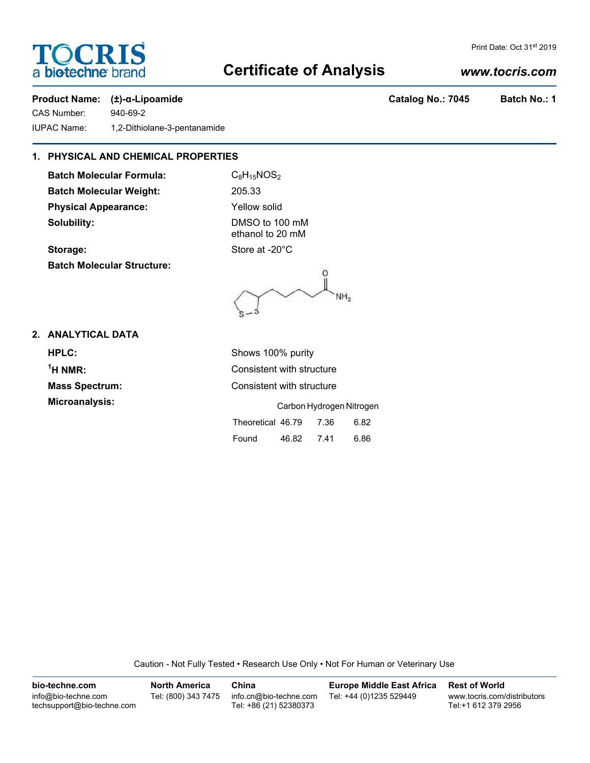# **TOCRIS** a **biotechne** bra

# **Certificate of Analysis**

Print Date: Oct 31<sup>st</sup> 2019

# **Product Name: (±)-α-Lipoamide Catalog No.: 7045 Batch No.: 1**

CAS Number: 940-69-2 IUPAC Name: 1,2-Dithiolane-3-pentanamide

# **1. PHYSICAL AND CHEMICAL PROPERTIES**

**Batch Molecular Formula:** C<sub>8</sub>H<sub>15</sub>NOS<sub>2</sub> **Batch Molecular Weight:** 205.33 **Physical Appearance:** Yellow solid **Solubility:** DMSO to 100 mM

ethanol to 20 mM **Storage:** Store at -20°C

**Batch Molecular Structure:**

O NH.

# **2. ANALYTICAL DATA**

 $<sup>1</sup>H NMR$ :</sup>

**HPLC:** Shows 100% purity **Consistent with structure Mass Spectrum:** Consistent with structure **Microanalysis:** Carbon Hydrogen Nitrogen Theoretical 46.79 7.36 6.82 Found 46.82 7.41 6.86

Caution - Not Fully Tested • Research Use Only • Not For Human or Veterinary Use

**bio-techne.com** info@bio-techne.com techsupport@bio-techne.com **North America** Tel: (800) 343 7475 **China** info.cn@bio-techne.com Tel: +86 (21) 52380373 **Europe Middle East Africa** Tel: +44 (0)1235 529449 **Rest of World** www.tocris.com/distributors Tel:+1 612 379 2956

# *www.tocris.com*